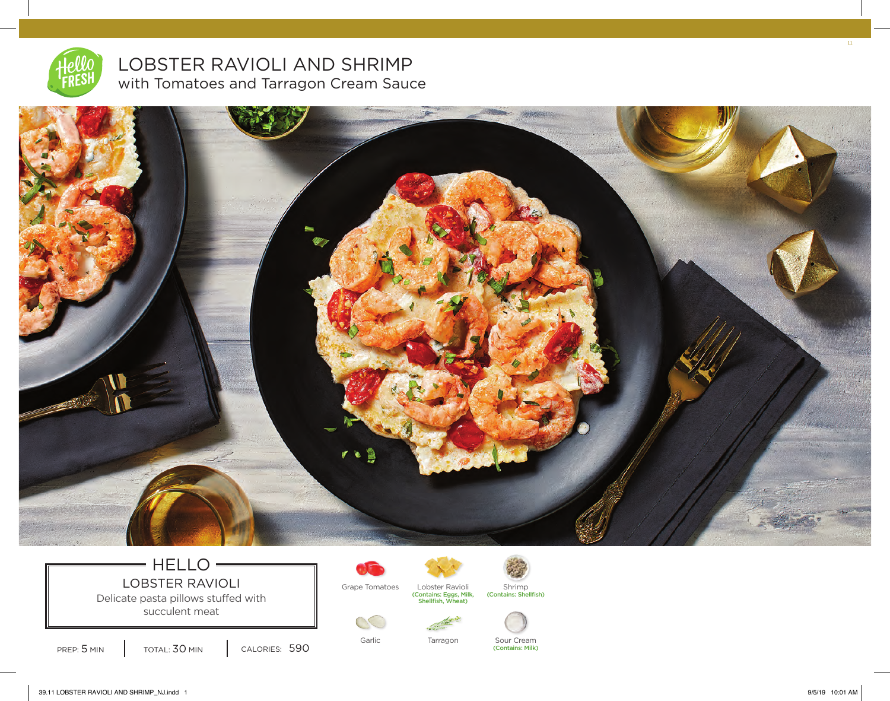# LOBSTER RAVIOLI AND SHRIMP with Tomatoes and Tarragon Cream Sauce



## $=$  HELLO  $=$  $\angle$  LOBSTER RAVIOLI  $\parallel$  Grape Tomatoes Delicate pasta pillows stuffed with

succulent meat

S Garlic **Carlies Tarragon** Sour Cream



Shrimp<br>(Contains: Shellfish)

(Contains: Milk)

Tarragon

PREP: 5 MIN | TOTAL: 30 MIN | CALORIES: 590

39.11 LOBSTER RAVIOLI AND SHRIMP\_NJ.indd 1 9/5/19 10:01 AM

11